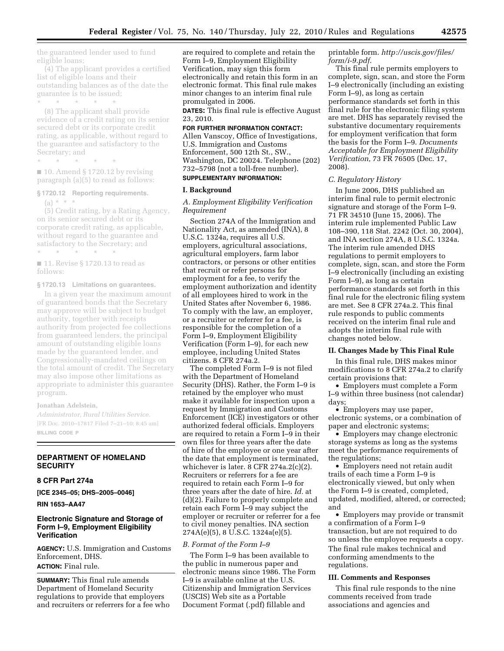the guaranteed lender used to fund eligible loans;

(4) The applicant provides a certified list of eligible loans and their outstanding balances as of the date the guarantee is to be issued; \* \* \* \* \*

(8) The applicant shall provide evidence of a credit rating on its senior secured debt or its corporate credit rating, as applicable, without regard to the guarantee and satisfactory to the Secretary; and

\* \* \* \* \*

■ 10. Amend § 1720.12 by revising paragraph (a)(5) to read as follows:

#### **§ 1720.12 Reporting requirements.**

 $(a) * * * *$ (5) Credit rating, by a Rating Agency, on its senior secured debt or its corporate credit rating, as applicable, without regard to the guarantee and satisfactory to the Secretary; and \* \* \* \* \*

■ 11. Revise § 1720.13 to read as follows:

#### **§ 1720.13 Limitations on guarantees.**

In a given year the maximum amount of guaranteed bonds that the Secretary may approve will be subject to budget authority, together with receipts authority from projected fee collections from guaranteed lenders, the principal amount of outstanding eligible loans made by the guaranteed lender, and Congressionally-mandated ceilings on the total amount of credit. The Secretary may also impose other limitations as appropriate to administer this guarantee program.

## **Jonathan Adelstein,**

*Administrator, Rural Utilities Service.*  [FR Doc. 2010–17817 Filed 7–21–10; 8:45 am] **BILLING CODE P** 

## **DEPARTMENT OF HOMELAND SECURITY**

### **8 CFR Part 274a**

**[ICE 2345–05; DHS–2005–0046]** 

**RIN 1653–AA47** 

# **Electronic Signature and Storage of Form I–9, Employment Eligibility Verification**

**AGENCY:** U.S. Immigration and Customs Enforcement, DHS. **ACTION:** Final rule.

**SUMMARY:** This final rule amends Department of Homeland Security regulations to provide that employers and recruiters or referrers for a fee who are required to complete and retain the Form I–9, Employment Eligibility Verification, may sign this form electronically and retain this form in an electronic format. This final rule makes minor changes to an interim final rule promulgated in 2006.

**DATES:** This final rule is effective August 23, 2010.

**FOR FURTHER INFORMATION CONTACT:**  Allen Vanscoy, Office of Investigations, U.S. Immigration and Customs Enforcement, 500 12th St., SW., Washington, DC 20024. Telephone (202) 732–5798 (not a toll-free number). **SUPPLEMENTARY INFORMATION:** 

### **I. Background**

*A. Employment Eligibility Verification Requirement* 

Section 274A of the Immigration and Nationality Act, as amended (INA), 8 U.S.C. 1324a, requires all U.S. employers, agricultural associations, agricultural employers, farm labor contractors, or persons or other entities that recruit or refer persons for employment for a fee, to verify the employment authorization and identity of all employees hired to work in the United States after November 6, 1986. To comply with the law, an employer, or a recruiter or referrer for a fee, is responsible for the completion of a Form I–9, Employment Eligibility Verification (Form I–9), for each new employee, including United States citizens. 8 CFR 274a.2.

The completed Form I–9 is not filed with the Department of Homeland Security (DHS). Rather, the Form I–9 is retained by the employer who must make it available for inspection upon a request by Immigration and Customs Enforcement (ICE) investigators or other authorized federal officials. Employers are required to retain a Form I–9 in their own files for three years after the date of hire of the employee or one year after the date that employment is terminated, whichever is later. 8 CFR 274a.2(c)(2). Recruiters or referrers for a fee are required to retain each Form I–9 for three years after the date of hire. *Id.* at (d)(2). Failure to properly complete and retain each Form I–9 may subject the employer or recruiter or referrer for a fee to civil money penalties. INA section 274A(e)(5), 8 U.S.C. 1324a(e)(5).

## *B. Format of the Form I–9*

The Form I–9 has been available to the public in numerous paper and electronic means since 1986. The Form I–9 is available online at the U.S. Citizenship and Immigration Services (USCIS) Web site as a Portable Document Format (.pdf) fillable and

printable form. *[http://uscis.gov/files/](http://uscis.gov/files/form/i-9.pdf)  [form/i-9.pdf](http://uscis.gov/files/form/i-9.pdf)*.

This final rule permits employers to complete, sign, scan, and store the Form I–9 electronically (including an existing Form I–9), as long as certain performance standards set forth in this final rule for the electronic filing system are met. DHS has separately revised the substantive documentary requirements for employment verification that form the basis for the Form I–9. *Documents Acceptable for Employment Eligibility Verification,* 73 FR 76505 (Dec. 17, 2008).

### *C. Regulatory History*

In June 2006, DHS published an interim final rule to permit electronic signature and storage of the Form I–9. 71 FR 34510 (June 15, 2006). The interim rule implemented Public Law 108–390, 118 Stat. 2242 (Oct. 30, 2004), and INA section 274A, 8 U.S.C. 1324a. The interim rule amended DHS regulations to permit employers to complete, sign, scan, and store the Form I–9 electronically (including an existing Form I–9), as long as certain performance standards set forth in this final rule for the electronic filing system are met. See 8 CFR 274a.2. This final rule responds to public comments received on the interim final rule and adopts the interim final rule with changes noted below.

## **II. Changes Made by This Final Rule**

In this final rule, DHS makes minor modifications to 8 CFR 274a.2 to clarify certain provisions that:

• Employers must complete a Form I–9 within three business (not calendar) days;

• Employers may use paper, electronic systems, or a combination of paper and electronic systems;

• Employers may change electronic storage systems as long as the systems meet the performance requirements of the regulations;

• Employers need not retain audit trails of each time a Form I–9 is electronically viewed, but only when the Form I–9 is created, completed, updated, modified, altered, or corrected; and

• Employers may provide or transmit a confirmation of a Form I–9 transaction, but are not required to do so unless the employee requests a copy. The final rule makes technical and conforming amendments to the regulations.

## **III. Comments and Responses**

This final rule responds to the nine comments received from trade associations and agencies and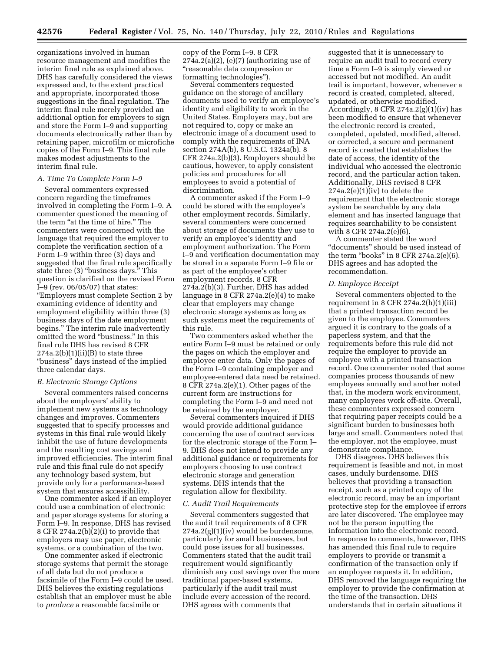organizations involved in human resource management and modifies the interim final rule as explained above. DHS has carefully considered the views expressed and, to the extent practical and appropriate, incorporated those suggestions in the final regulation. The interim final rule merely provided an additional option for employers to sign and store the Form I–9 and supporting documents electronically rather than by retaining paper, microfilm or microfiche copies of the Form I–9. This final rule makes modest adjustments to the interim final rule.

## *A. Time To Complete Form I–9*

Several commenters expressed concern regarding the timeframes involved in completing the Form I–9. A commenter questioned the meaning of the term "at the time of hire." The commenters were concerned with the language that required the employer to complete the verification section of a Form I–9 within three (3) days and suggested that the final rule specifically state three (3) "business days." This question is clarified on the revised Form I–9 (rev. 06/05/07) that states: ''Employers must complete Section 2 by examining evidence of identity and employment eligibility within three (3) business days of the date employment begins.'' The interim rule inadvertently omitted the word ''business.'' In this final rule DHS has revised 8 CFR  $274a.2(b)(1)(ii)(B)$  to state three ''business'' days instead of the implied three calendar days.

### *B. Electronic Storage Options*

Several commenters raised concerns about the employers' ability to implement new systems as technology changes and improves. Commenters suggested that to specify processes and systems in this final rule would likely inhibit the use of future developments and the resulting cost savings and improved efficiencies. The interim final rule and this final rule do not specify any technology based system, but provide only for a performance-based system that ensures accessibility.

One commenter asked if an employer could use a combination of electronic and paper storage systems for storing a Form I–9. In response, DHS has revised 8 CFR 274a.2(b)(2)(i) to provide that employers may use paper, electronic systems, or a combination of the two.

One commenter asked if electronic storage systems that permit the storage of all data but do not produce a facsimile of the Form I–9 could be used. DHS believes the existing regulations establish that an employer must be able to *produce* a reasonable facsimile or

copy of the Form I–9. 8 CFR  $274a.2(a)(2)$ , (e)(7) (authorizing use of ''reasonable data compression or formatting technologies'').

Several commenters requested guidance on the storage of ancillary documents used to verify an employee's identity and eligibility to work in the United States. Employers may, but are not required to, copy or make an electronic image of a document used to comply with the requirements of INA section 274A(b), 8 U.S.C. 1324a(b). 8 CFR 274a.2(b)(3). Employers should be cautious, however, to apply consistent policies and procedures for all employees to avoid a potential of discrimination.

A commenter asked if the Form I–9 could be stored with the employee's other employment records. Similarly, several commenters were concerned about storage of documents they use to verify an employee's identity and employment authorization. The Form I–9 and verification documentation may be stored in a separate Form I–9 file or as part of the employee's other employment records. 8 CFR 274a.2(b)(3). Further, DHS has added language in 8 CFR 274a.2 $(e)(4)$  to make clear that employers may change electronic storage systems as long as such systems meet the requirements of this rule.

Two commenters asked whether the entire Form I–9 must be retained or only the pages on which the employer and employee enter data. Only the pages of the Form I–9 containing employer and employee-entered data need be retained. 8 CFR 274a.2(e)(1). Other pages of the current form are instructions for completing the Form I–9 and need not be retained by the employer.

Several commenters inquired if DHS would provide additional guidance concerning the use of contract services for the electronic storage of the Form I– 9. DHS does not intend to provide any additional guidance or requirements for employers choosing to use contract electronic storage and generation systems. DHS intends that the regulation allow for flexibility.

#### *C. Audit Trail Requirements*

Several commenters suggested that the audit trail requirements of 8 CFR 274a.2(g)(1)(iv) would be burdensome, particularly for small businesses, but could pose issues for all businesses. Commenters stated that the audit trail requirement would significantly diminish any cost savings over the more traditional paper-based systems, particularly if the audit trail must include every accession of the record. DHS agrees with comments that

suggested that it is unnecessary to require an audit trail to record every time a Form I–9 is simply viewed or accessed but not modified. An audit trail is important, however, whenever a record is created, completed, altered, updated, or otherwise modified. Accordingly, 8 CFR  $274a.2(g)(1)(iv)$  has been modified to ensure that whenever the electronic record is created, completed, updated, modified, altered, or corrected, a secure and permanent record is created that establishes the date of access, the identity of the individual who accessed the electronic record, and the particular action taken. Additionally, DHS revised 8 CFR  $274a.2(e)(1)(iv)$  to delete the requirement that the electronic storage system be searchable by any data element and has inserted language that requires searchability to be consistent with 8 CFR 274a.2(e)(6).

A commenter stated the word ''documents'' should be used instead of the term "books" in 8 CFR 274a.2 $(e)(6)$ . DHS agrees and has adopted the recommendation.

#### *D. Employee Receipt*

Several commenters objected to the requirement in 8 CFR 274a.2(h)(1)(iii) that a printed transaction record be given to the employee. Commenters argued it is contrary to the goals of a paperless system, and that the requirements before this rule did not require the employer to provide an employee with a printed transaction record. One commenter noted that some companies process thousands of new employees annually and another noted that, in the modern work environment, many employees work off-site. Overall, these commenters expressed concern that requiring paper receipts could be a significant burden to businesses both large and small. Commenters noted that the employer, not the employee, must demonstrate compliance.

DHS disagrees. DHS believes this requirement is feasible and not, in most cases, unduly burdensome. DHS believes that providing a transaction receipt, such as a printed copy of the electronic record, may be an important protective step for the employee if errors are later discovered. The employee may not be the person inputting the information into the electronic record. In response to comments, however, DHS has amended this final rule to require employers to provide or transmit a confirmation of the transaction only if an employee requests it. In addition, DHS removed the language requiring the employer to provide the confirmation at the time of the transaction. DHS understands that in certain situations it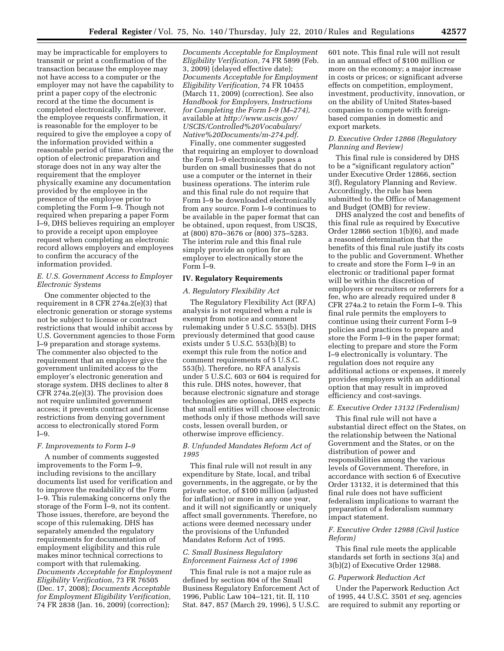may be impracticable for employers to transmit or print a confirmation of the transaction because the employee may not have access to a computer or the employer may not have the capability to print a paper copy of the electronic record at the time the document is completed electronically. If, however, the employee requests confirmation, it is reasonable for the employer to be required to give the employee a copy of the information provided within a reasonable period of time. Providing the option of electronic preparation and storage does not in any way alter the requirement that the employer physically examine any documentation provided by the employee in the presence of the employee prior to completing the Form I–9. Though not required when preparing a paper Form I–9, DHS believes requiring an employer to provide a receipt upon employee request when completing an electronic record allows employers and employees to confirm the accuracy of the information provided.

# *E. U.S. Government Access to Employer Electronic Systems*

One commenter objected to the requirement in 8 CFR 274a.2(e)(3) that electronic generation or storage systems not be subject to license or contract restrictions that would inhibit access by U.S. Government agencies to those Form I–9 preparation and storage systems. The commenter also objected to the requirement that an employer give the government unlimited access to the employer's electronic generation and storage system. DHS declines to alter 8 CFR 274a.2(e)(3). The provision does not require unlimited government access; it prevents contract and license restrictions from denying government access to electronically stored Form I–9.

## *F. Improvements to Form I–9*

A number of comments suggested improvements to the Form I–9, including revisions to the ancillary documents list used for verification and to improve the readability of the Form I–9. This rulemaking concerns only the storage of the Form  $\bar{I}$ –9, not its content. Those issues, therefore, are beyond the scope of this rulemaking. DHS has separately amended the regulatory requirements for documentation of employment eligibility and this rule makes minor technical corrections to comport with that rulemaking. *Documents Acceptable for Employment Eligibility Verification,* 73 FR 76505 (Dec. 17, 2008); *Documents Acceptable for Employment Eligibility Verification,*  74 FR 2838 (Jan. 16, 2009) (correction);

*Documents Acceptable for Employment Eligibility Verification,* 74 FR 5899 (Feb. 3, 2009) (delayed effective date); *Documents Acceptable for Employment Eligibility Verification,* 74 FR 10455 (March 11, 2009) (correction). See also *Handbook for Employers, Instructions for Completing the Form I–9 (M–274),*  available at *[http://www.uscis.gov/](http://www.uscis.gov/USCIS/Controlled%20Vocabulary/Native%20Documents/m-274.pdf)  [USCIS/Controlled%20Vocabulary/](http://www.uscis.gov/USCIS/Controlled%20Vocabulary/Native%20Documents/m-274.pdf) [Native%20Documents/m-274.pdf](http://www.uscis.gov/USCIS/Controlled%20Vocabulary/Native%20Documents/m-274.pdf)*.

Finally, one commenter suggested that requiring an employer to download the Form I–9 electronically poses a burden on small businesses that do not use a computer or the internet in their business operations. The interim rule and this final rule do not require that Form I–9 be downloaded electronically from any source. Form I–9 continues to be available in the paper format that can be obtained, upon request, from USCIS, at (800) 870–3676 or (800) 375–5283. The interim rule and this final rule simply provide an option for an employer to electronically store the Form I–9.

## **IV. Regulatory Requirements**

#### *A. Regulatory Flexibility Act*

The Regulatory Flexibility Act (RFA) analysis is not required when a rule is exempt from notice and comment rulemaking under 5 U.S.C. 553(b). DHS previously determined that good cause exists under 5 U.S.C. 553(b)(B) to exempt this rule from the notice and comment requirements of 5 U.S.C. 553(b). Therefore, no RFA analysis under 5 U.S.C. 603 or 604 is required for this rule. DHS notes, however, that because electronic signature and storage technologies are optional, DHS expects that small entities will choose electronic methods only if those methods will save costs, lessen overall burden, or otherwise improve efficiency.

## *B. Unfunded Mandates Reform Act of 1995*

This final rule will not result in any expenditure by State, local, and tribal governments, in the aggregate, or by the private sector, of \$100 million (adjusted for inflation) or more in any one year, and it will not significantly or uniquely affect small governments. Therefore, no actions were deemed necessary under the provisions of the Unfunded Mandates Reform Act of 1995.

## *C. Small Business Regulatory Enforcement Fairness Act of 1996*

This final rule is not a major rule as defined by section 804 of the Small Business Regulatory Enforcement Act of 1996, Public Law 104–121, tit. II, 110 Stat. 847, 857 (March 29, 1996), 5 U.S.C.

601 note. This final rule will not result in an annual effect of \$100 million or more on the economy; a major increase in costs or prices; or significant adverse effects on competition, employment, investment, productivity, innovation, or on the ability of United States-based companies to compete with foreignbased companies in domestic and export markets.

## *D. Executive Order 12866 (Regulatory Planning and Review)*

This final rule is considered by DHS to be a ''significant regulatory action'' under Executive Order 12866, section 3(f), Regulatory Planning and Review. Accordingly, the rule has been submitted to the Office of Management and Budget (OMB) for review.

DHS analyzed the cost and benefits of this final rule as required by Executive Order 12866 section 1(b)(6), and made a reasoned determination that the benefits of this final rule justify its costs to the public and Government. Whether to create and store the Form I–9 in an electronic or traditional paper format will be within the discretion of employers or recruiters or referrers for a fee, who are already required under 8 CFR 274a.2 to retain the Form I–9. This final rule permits the employers to continue using their current Form I–9 policies and practices to prepare and store the Form I–9 in the paper format; electing to prepare and store the Form I–9 electronically is voluntary. The regulation does not require any additional actions or expenses, it merely provides employers with an additional option that may result in improved efficiency and cost-savings.

## *E. Executive Order 13132 (Federalism)*

This final rule will not have a substantial direct effect on the States, on the relationship between the National Government and the States, or on the distribution of power and responsibilities among the various levels of Government. Therefore, in accordance with section 6 of Executive Order 13132, it is determined that this final rule does not have sufficient federalism implications to warrant the preparation of a federalism summary impact statement.

## *F. Executive Order 12988 (Civil Justice Reform)*

This final rule meets the applicable standards set forth in sections 3(a) and 3(b)(2) of Executive Order 12988.

## *G. Paperwork Reduction Act*

Under the Paperwork Reduction Act of 1995, 44 U.S.C. 3501 *et seq,* agencies are required to submit any reporting or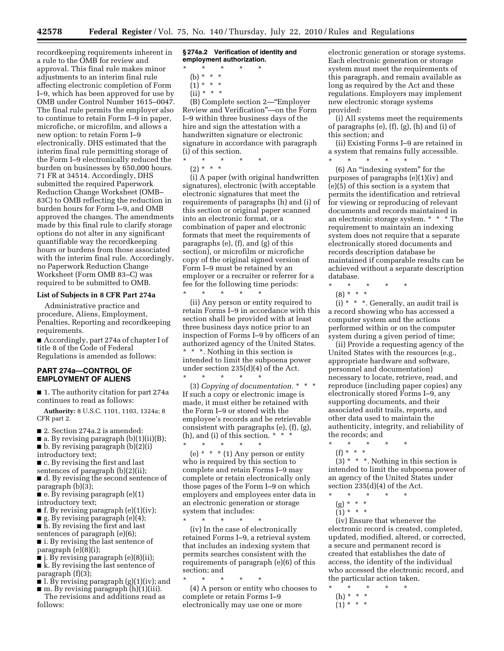recordkeeping requirements inherent in a rule to the OMB for review and approval. This final rule makes minor adjustments to an interim final rule affecting electronic completion of Form I–9, which has been approved for use by OMB under Control Number 1615–0047. The final rule permits the employer also to continue to retain Form I–9 in paper, microfiche, or microfilm, and allows a new option: to retain Form I–9 electronically. DHS estimated that the interim final rule permitting storage of the Form I–9 electronically reduced the burden on businesses by 650,000 hours. 71 FR at 34514. Accordingly, DHS submitted the required Paperwork Reduction Change Worksheet (OMB– 83C) to OMB reflecting the reduction in burden hours for Form I–9, and OMB approved the changes. The amendments made by this final rule to clarify storage options do not alter in any significant quantifiable way the recordkeeping hours or burdens from those associated with the interim final rule. Accordingly, no Paperwork Reduction Change Worksheet (Form OMB 83–C) was required to be submitted to OMB.

#### **List of Subjects in 8 CFR Part 274a**

Administrative practice and procedure, Aliens, Employment, Penalties, Reporting and recordkeeping requirements.

■ Accordingly, part 274a of chapter I of title 8 of the Code of Federal Regulations is amended as follows:

# **PART 274a—CONTROL OF EMPLOYMENT OF ALIENS**

■ 1. The authority citation for part 274a continues to read as follows:

**Authority:** 8 U.S.C. 1101, 1103, 1324a; 8 CFR part 2.

■ 2. Section 274a.2 is amended:

■ a. By revising paragraph (b)(1)(ii)(B); ■ b. By revising paragraph (b)(2)(i) introductory text;

- c. By revising the first and last
- sentences of paragraph (b)(2)(ii);

■ d. By revising the second sentence of paragraph (b)(3);

 $\blacksquare$  e. By revising paragraph (e)(1) introductory text;

- $\blacksquare$  f. By revising paragraph (e)(1)(iv);
- $\blacksquare$  g. By revising paragraph (e)(4);
- h. By revising the first and last
- sentences of paragraph (e)(6);

■ i. By revising the last sentence of paragraph (e)(8)(i);

■ j. By revising paragraph (e)(8)(ii);

■ k. By revising the last sentence of paragraph (f)(3);

- $\blacksquare$  l. By revising paragraph (g)(1)(iv); and
- m. By revising paragraph (h)(1)(iii). The revisions and additions read as

follows:

**§ 274a.2 Verification of identity and employment authorization.** 

\* \* \* \* \*

- (b) \* \* \*
- $(1) * * * *$  $(ii) * * * *$

(B) Complete section 2—''Employer Review and Verification''—on the Form I–9 within three business days of the hire and sign the attestation with a handwritten signature or electronic signature in accordance with paragraph (i) of this section.

\* \* \* \* \*

 $(2) * * * *$ 

(i) A paper (with original handwritten signatures), electronic (with acceptable electronic signatures that meet the requirements of paragraphs (h) and (i) of this section or original paper scanned into an electronic format, or a combination of paper and electronic formats that meet the requirements of paragraphs (e), (f), and (g) of this section), or microfilm or microfiche copy of the original signed version of Form I–9 must be retained by an employer or a recruiter or referrer for a fee for the following time periods:

\* \* \* \* \* (ii) Any person or entity required to retain Forms I–9 in accordance with this section shall be provided with at least three business days notice prior to an inspection of Forms I–9 by officers of an authorized agency of the United States. \* \* \*. Nothing in this section is intended to limit the subpoena power under section 235(d)(4) of the Act. \* \* \* \* \*

(3) *Copying of documentation.* \* \* \* If such a copy or electronic image is made, it must either be retained with the Form I–9 or stored with the employee's records and be retrievable consistent with paragraphs (e), (f), (g), (h), and (i) of this section. \* \* \*

\* \* \* \* \* (e)  $* * * (1)$  Any person or entity who is required by this section to complete and retain Forms I–9 may complete or retain electronically only those pages of the Form I–9 on which employers and employees enter data in an electronic generation or storage system that includes:

\* \* \* \* \*

(iv) In the case of electronically retained Forms I–9, a retrieval system that includes an indexing system that permits searches consistent with the requirements of paragraph (e)(6) of this section; and

\* \* \* \* \*

(4) A person or entity who chooses to complete or retain Forms I–9 electronically may use one or more

electronic generation or storage systems. Each electronic generation or storage system must meet the requirements of this paragraph, and remain available as long as required by the Act and these regulations. Employers may implement new electronic storage systems provided:

(i) All systems meet the requirements of paragraphs (e), (f), (g), (h) and (i) of this section; and

(ii) Existing Forms I–9 are retained in a system that remains fully accessible. \* \* \* \* \*

(6) An ''indexing system'' for the purposes of paragraphs (e)(1)(iv) and (e)(5) of this section is a system that permits the identification and retrieval for viewing or reproducing of relevant documents and records maintained in an electronic storage system. \* \* \* The requirement to maintain an indexing system does not require that a separate electronically stored documents and records description database be maintained if comparable results can be achieved without a separate description database.

\* \* \* \* \*

(8) \* \* \*

 $(i) * * *$ . Generally, an audit trail is a record showing who has accessed a computer system and the actions performed within or on the computer system during a given period of time;

(ii) Provide a requesting agency of the United States with the resources (e.g., appropriate hardware and software, personnel and documentation) necessary to locate, retrieve, read, and reproduce (including paper copies) any electronically stored Forms I–9, any supporting documents, and their associated audit trails, reports, and other data used to maintain the authenticity, integrity, and reliability of the records; and

- \* \* \* \* \*
- (f) \* \* \*

 $(3)$  \* \* \*. Nothing in this section is intended to limit the subpoena power of an agency of the United States under section 235(d)(4) of the Act.

- \* \* \* \* \*
	- (g) \* \* \*
	- (1) \* \* \*

(iv) Ensure that whenever the electronic record is created, completed, updated, modified, altered, or corrected, a secure and permanent record is created that establishes the date of access, the identity of the individual who accessed the electronic record, and the particular action taken.

\* \* \* \* \* (h) \* \* \*  $(1) * * * *$